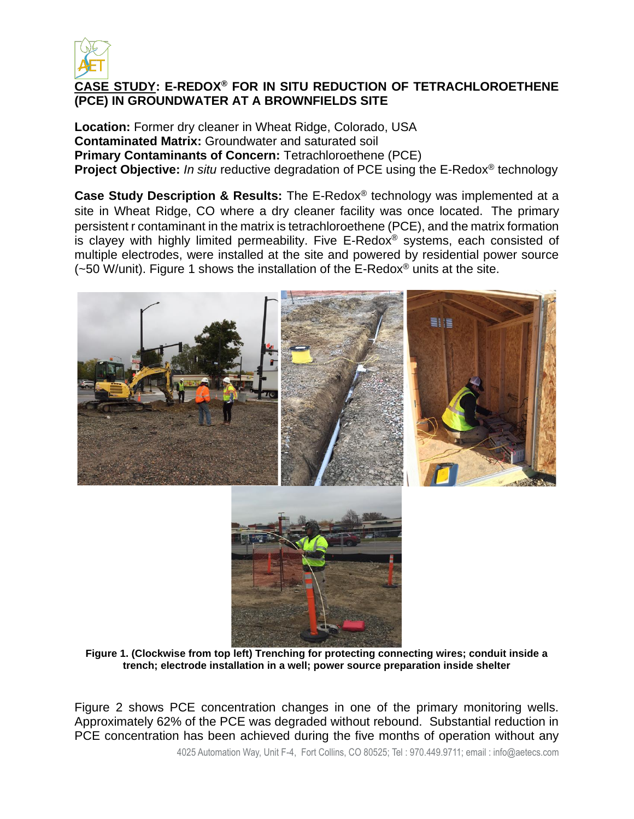

## **CASE STUDY: E-REDOX® FOR IN SITU REDUCTION OF TETRACHLOROETHENE (PCE) IN GROUNDWATER AT A BROWNFIELDS SITE**

**Location:** Former dry cleaner in Wheat Ridge, Colorado, USA **Contaminated Matrix:** Groundwater and saturated soil **Primary Contaminants of Concern:** Tetrachloroethene (PCE) **Project Objective:** *In situ* reductive degradation of PCE using the E-Redox® technology

**Case Study Description & Results:** The E-Redox® technology was implemented at a site in Wheat Ridge, CO where a dry cleaner facility was once located. The primary persistent r contaminant in the matrix is tetrachloroethene (PCE), and the matrix formation is clayey with highly limited permeability. Five E-Redox<sup>®</sup> systems, each consisted of multiple electrodes, were installed at the site and powered by residential power source ( $-50$  W/unit). Figure 1 shows the installation of the E-Redox<sup>®</sup> units at the site.



**Figure 1. (Clockwise from top left) Trenching for protecting connecting wires; conduit inside a trench; electrode installation in a well; power source preparation inside shelter**

Figure 2 shows PCE concentration changes in one of the primary monitoring wells. Approximately 62% of the PCE was degraded without rebound. Substantial reduction in PCE concentration has been achieved during the five months of operation without any